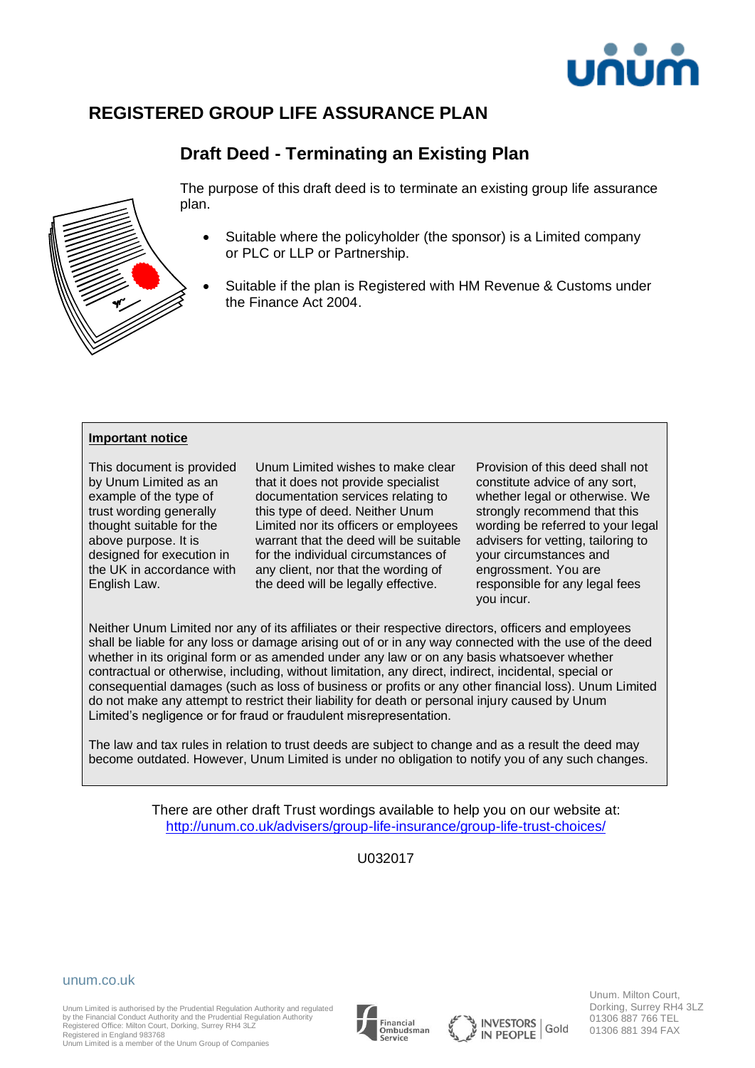

# **REGISTERED GROUP LIFE ASSURANCE PLAN**

# **Draft Deed - Terminating an Existing Plan**



The purpose of this draft deed is to terminate an existing group life assurance plan.

- Suitable where the policyholder (the sponsor) is a Limited company or PLC or LLP or Partnership.
- Suitable if the plan is Registered with HM Revenue & Customs under the Finance Act 2004.

#### **Important notice**

This document is provided by Unum Limited as an example of the type of trust wording generally thought suitable for the above purpose. It is designed for execution in the UK in accordance with English Law.

Unum Limited wishes to make clear that it does not provide specialist documentation services relating to this type of deed. Neither Unum Limited nor its officers or employees warrant that the deed will be suitable for the individual circumstances of any client, nor that the wording of the deed will be legally effective.

Provision of this deed shall not constitute advice of any sort, whether legal or otherwise. We strongly recommend that this wording be referred to your legal advisers for vetting, tailoring to your circumstances and engrossment. You are responsible for any legal fees you incur.

Neither Unum Limited nor any of its affiliates or their respective directors, officers and employees shall be liable for any loss or damage arising out of or in any way connected with the use of the deed whether in its original form or as amended under any law or on any basis whatsoever whether contractual or otherwise, including, without limitation, any direct, indirect, incidental, special or consequential damages (such as loss of business or profits or any other financial loss). Unum Limited do not make any attempt to restrict their liability for death or personal injury caused by Unum Limited's negligence or for fraud or fraudulent misrepresentation.

The law and tax rules in relation to trust deeds are subject to change and as a result the deed may become outdated. However, Unum Limited is under no obligation to notify you of any such changes.

> There are other draft Trust wordings available to help you on our website at: <http://unum.co.uk/advisers/group-life-insurance/group-life-trust-choices/>

> > U032017

#### unum.co.uk

Unum Limited is authorised by the Prudential Regulation Authority and regulated by the Financial Conduct Authority and the Prudential Regulation Authority Registered Office: Milton Court, Dorking, Surrey RH4 3LZ





Unum. Milton Court, Dorking, Surrey RH4 3LZ 01306 887 766 TEL 01306 881 394 FAX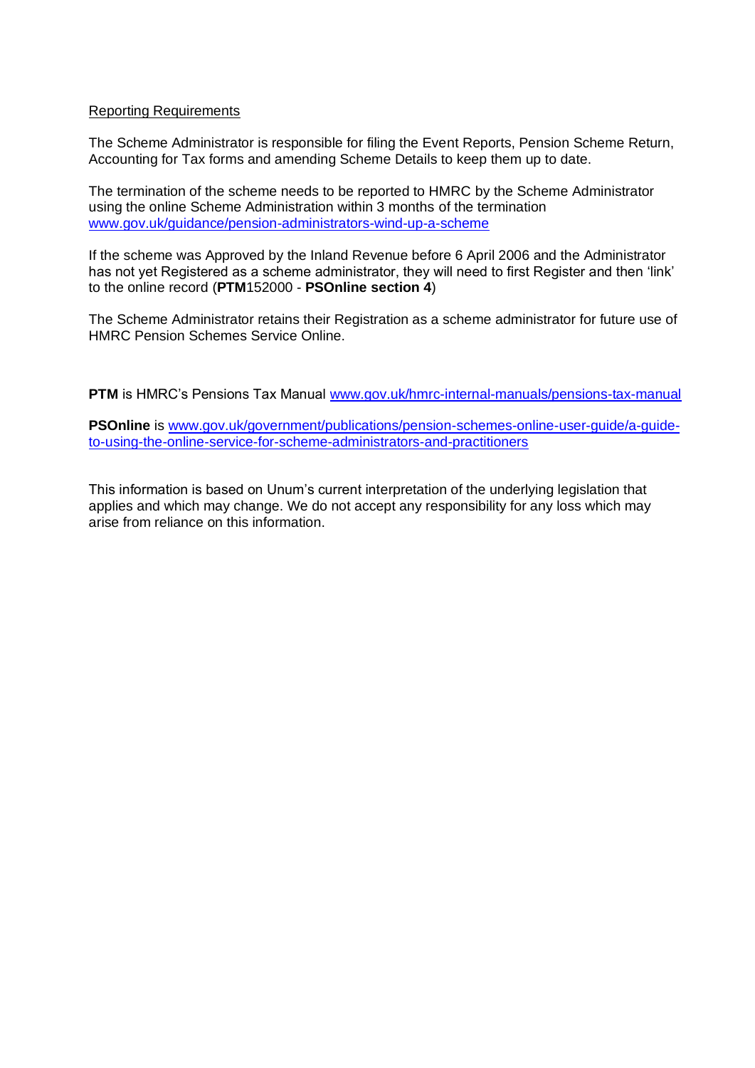#### Reporting Requirements

The Scheme Administrator is responsible for filing the Event Reports, Pension Scheme Return, Accounting for Tax forms and amending Scheme Details to keep them up to date.

The termination of the scheme needs to be reported to HMRC by the Scheme Administrator using the online Scheme Administration within 3 months of the termination [www.gov.uk/guidance/pension-administrators-wind-up-a-scheme](http://www.gov.uk/guidance/pension-administrators-wind-up-a-scheme)

If the scheme was Approved by the Inland Revenue before 6 April 2006 and the Administrator has not yet Registered as a scheme administrator, they will need to first Register and then 'link' to the online record (**PTM**152000 - **PSOnline section 4**)

The Scheme Administrator retains their Registration as a scheme administrator for future use of HMRC Pension Schemes Service Online.

**PTM** is HMRC's Pensions Tax Manual [www.gov.uk/hmrc-internal-manuals/pensions-tax-manual](http://www.gov.uk/hmrc-internal-manuals/pensions-tax-manual)

**PSOnline** is [www.gov.uk/government/publications/pension-schemes-online-user-guide/a-guide](http://www.gov.uk/government/publications/pension-schemes-online-user-guide/a-guide-to-using-the-online-service-for-scheme-administrators-and-practitioners)[to-using-the-online-service-for-scheme-administrators-and-practitioners](http://www.gov.uk/government/publications/pension-schemes-online-user-guide/a-guide-to-using-the-online-service-for-scheme-administrators-and-practitioners)

This information is based on Unum's current interpretation of the underlying legislation that applies and which may change. We do not accept any responsibility for any loss which may arise from reliance on this information.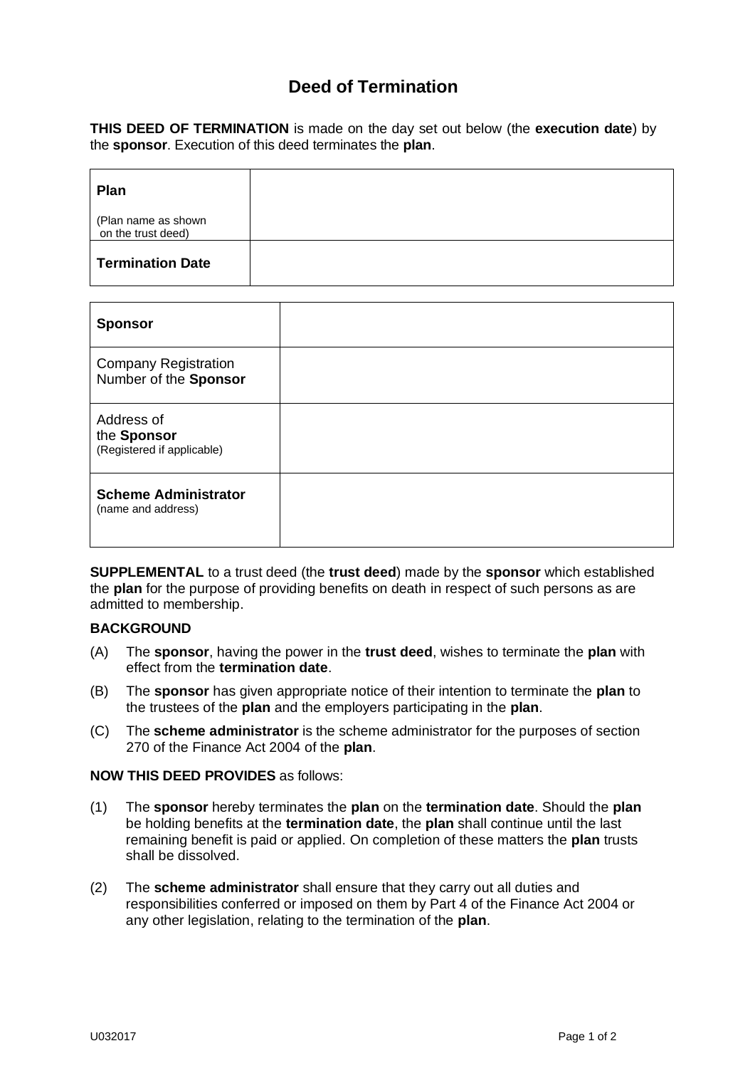## **Deed of Termination**

**THIS DEED OF TERMINATION** is made on the day set out below (the **execution date**) by the **sponsor**. Execution of this deed terminates the **plan**.

| Plan                                      |  |
|-------------------------------------------|--|
| (Plan name as shown<br>on the trust deed) |  |
| <b>Termination Date</b>                   |  |

| <b>Sponsor</b>                                          |  |
|---------------------------------------------------------|--|
| <b>Company Registration</b><br>Number of the Sponsor    |  |
| Address of<br>the Sponsor<br>(Registered if applicable) |  |
| <b>Scheme Administrator</b><br>(name and address)       |  |

**SUPPLEMENTAL** to a trust deed (the **trust deed**) made by the **sponsor** which established the **plan** for the purpose of providing benefits on death in respect of such persons as are admitted to membership.

#### **BACKGROUND**

- (A) The **sponsor**, having the power in the **trust deed**, wishes to terminate the **plan** with effect from the **termination date**.
- (B) The **sponsor** has given appropriate notice of their intention to terminate the **plan** to the trustees of the **plan** and the employers participating in the **plan**.
- (C) The **scheme administrator** is the scheme administrator for the purposes of section 270 of the Finance Act 2004 of the **plan**.

#### **NOW THIS DEED PROVIDES** as follows:

- (1) The **sponsor** hereby terminates the **plan** on the **termination date**. Should the **plan** be holding benefits at the **termination date**, the **plan** shall continue until the last remaining benefit is paid or applied. On completion of these matters the **plan** trusts shall be dissolved.
- (2) The **scheme administrator** shall ensure that they carry out all duties and responsibilities conferred or imposed on them by Part 4 of the Finance Act 2004 or any other legislation, relating to the termination of the **plan**.